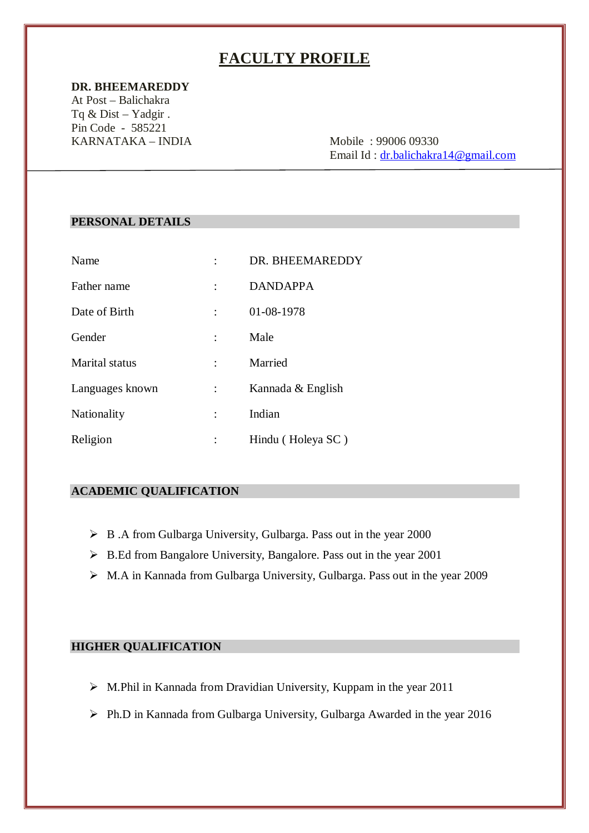# **FACULTY PROFILE**

#### **DR. BHEEMAREDDY**

At Post – Balichakra Tq & Dist – Yadgir . Pin Code - 585221 KARNATAKA – INDIA Mobile : 99006 09330

Email Id : dr.balichakra14@gmail.com

#### **PERSONAL DETAILS**

| Name            | DR. BHEEMAREDDY   |
|-----------------|-------------------|
| Father name     | <b>DANDAPPA</b>   |
| Date of Birth   | 01-08-1978        |
| Gender          | Male              |
| Marital status  | Married           |
| Languages known | Kannada & English |
| Nationality     | Indian            |
| Religion        | Hindu (Holeya SC) |

#### **ACADEMIC QUALIFICATION**

- B .A from Gulbarga University, Gulbarga. Pass out in the year 2000
- $\triangleright$  B.Ed from Bangalore University, Bangalore. Pass out in the year 2001
- M.A in Kannada from Gulbarga University, Gulbarga. Pass out in the year 2009

## **HIGHER QUALIFICATION**

- $\triangleright$  M.Phil in Kannada from Dravidian University, Kuppam in the year 2011
- Ph.D in Kannada from Gulbarga University, Gulbarga Awarded in the year 2016